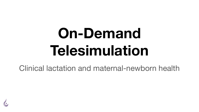# **On-Demand Telesimulation**

Clinical lactation and maternal-newborn health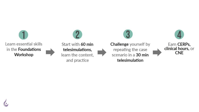





**Challenge** yourself by repeating the case scenario in a 30 min telesimulation

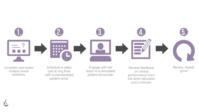

the actor-educator and a clinician

patient actor.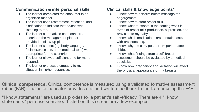### **Communication & interpersonal skills**

- The learner completed the encounter in an organized manner.
- The learner used restatement, reflection, and clarification to indicate that he/she was listening to me.
- The learner summarized each concern, described the management plan, or provided a follow-up plan.
- The learner's affect (eg. body language, facial expressions, and emotional tone) were appropriate for the scenario.
- The learner allowed sufficient time for me to respond.
- The learner expressed empathy to my situation in his/her responses.

### **Clinical skills & knowledge points\***

- I know how to perform breast massage for engorgement.
- I know how to store breast milk.
- I know what to expect in the coming week in terms of breast milk production, expression, and provision to my baby.
- I know which medications are contraindicated with breastfeeding.
- I know why the early postpartum period affects libido.
- I know what findings from a self-breast assessment should be evaluated by a medical specialist
- I know how pregnancy and lactation will affect the physical appearance of my breasts.

**Clinical competence.** Clinical competence is measured using a validated formative assessment rubric (FAR). The actor-educator provides oral and written feedback to the learner using the FAR.

"I know statements" are used as proxies for a patient's self-efficacy. There are 4 "I know statements" per case scenario. \*Listed on this screen are a few examples.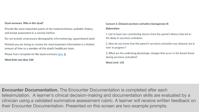#### Dyad summary. Who is this dyad?

Provide the most important points of the maternal history, pediatric history, and breast assessment in a concise fashion.

Do not include unnecessary demographic information (eg. appointment date)

Pretend you are trying to convey the most important information in a limited amount of time to a member of this dvad's healthcare team.

Please find a template for the dyad summary here a

Word limit: less than 100

#### Concern 3. Delayed secretory activation (lactogenesis II)

#### Flaboration.

1. List at least two contributing factors from the parent's history that led to the delay in secretory activation.

2. How do you know that this parent's secretory activation was delayed, but is now 'in progress'?

3. What are the underlying physiologic changes that occur in the breast tissue during secretory activation?

Word Limit: 150

**Encounter Documentation.** The Encounter Documentation is completed after each telesimulation. A learner's clinical decision-making and documentation skills are evaluated by a clinician using a validated summative assessment rubric. A learner will receive written feedback on their Encounter Documentation. Presented on this screen are two example prompts.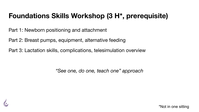# **Foundations Skills Workshop (3 H\*, prerequisite)**

Part 1: Newborn positioning and attachment

Part 2: Breast pumps, equipment, alternative feeding

Part 3: Lactation skills, complications, telesimulation overview

*"See one, do one, teach one" approach*

\*Not in one sitting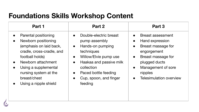# **Foundations Skills Workshop Content**

| Part 1                                                                                                                                                                                                                                                           | Part 2                                                                                                                                                                                                                                                                                 | Part 3                                                                                                                                                                                                                                                            |
|------------------------------------------------------------------------------------------------------------------------------------------------------------------------------------------------------------------------------------------------------------------|----------------------------------------------------------------------------------------------------------------------------------------------------------------------------------------------------------------------------------------------------------------------------------------|-------------------------------------------------------------------------------------------------------------------------------------------------------------------------------------------------------------------------------------------------------------------|
| Parental positioning<br>Newborn positioning<br>$\bullet$<br>(emphasis on laid back,<br>cradle, cross-cradle, and<br>football holds)<br>Newborn attachment<br>Using a supplemental<br>nursing system at the<br>breast/chest<br>Using a nipple shield<br>$\bullet$ | Double-electric breast<br>$\bullet$<br>pump assembly<br>Hands-on pumping<br>$\bullet$<br>techniques<br>Willow/Elvie pump use<br>$\bullet$<br>Haakaa and passive milk<br>$\bullet$<br>collection<br>Paced bottle feeding<br>$\bullet$<br>Cup, spoon, and finger<br>$\bullet$<br>feeding | <b>Breast assessment</b><br>$\bullet$<br>Hand expression<br>$\bullet$<br>Breast massage for<br>$\bullet$<br>engorgement<br>Breast massage for<br>$\bullet$<br>plugged ducts<br>Management of sore<br>$\bullet$<br>nipples<br>Telesimulation overview<br>$\bullet$ |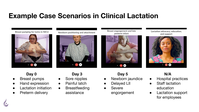# **Example Case Scenarios in Clinical Lactation**

Breast pumping for twins in NICU



Newborn positioning and attachment



Breast engorgement and late preterm infant



Lactation advocacy, education, and support



#### **Day 0**

- **Breast pumps**
- Hand expression
- **Lactation initiation**
- Preterm delivery

# **Day 3**

- Sore nipples
- Painful latch
- Breastfeeding assistance

## **Day 5**

- Newborn jaundice
- Delayed LII
- **Severe** engorgement

### **N/A**

- **Hospital practices**
- Staff lactation education
- Lactation support for employees